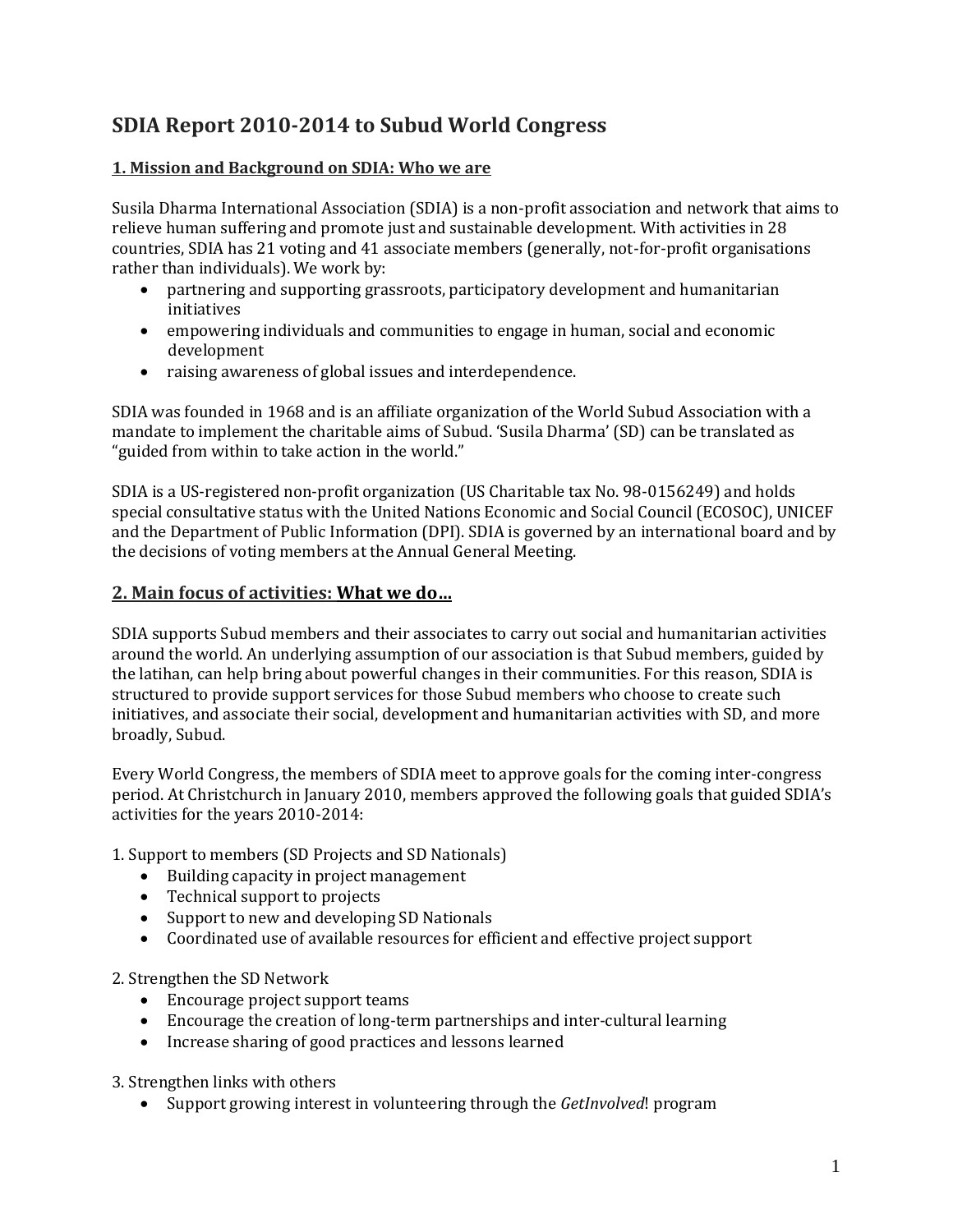# **SDIA Report 2010-2014 to Subud World Congress**

### **1. Mission and Background on SDIA: Who we are**

Susila Dharma International Association (SDIA) is a non-profit association and network that aims to relieve human suffering and promote just and sustainable development. With activities in 28 countries, SDIA has 21 voting and 41 associate members (generally, not-for-profit organisations rather than individuals). We work by:

- partnering and supporting grassroots, participatory development and humanitarian initiatives
- empowering individuals and communities to engage in human, social and economic development
- raising awareness of global issues and interdependence.

SDIA was founded in 1968 and is an affiliate organization of the World Subud Association with a mandate to implement the charitable aims of Subud. 'Susila Dharma' (SD) can be translated as "guided from within to take action in the world."

SDIA is a US-registered non-profit organization (US Charitable tax No. 98-0156249) and holds special consultative status with the United Nations Economic and Social Council (ECOSOC), UNICEF and the Department of Public Information (DPI). SDIA is governed by an international board and by the decisions of voting members at the Annual General Meeting.

### **2. Main focus of activities: What we do…**

SDIA supports Subud members and their associates to carry out social and humanitarian activities around the world. An underlying assumption of our association is that Subud members, guided by the latihan, can help bring about powerful changes in their communities. For this reason, SDIA is structured to provide support services for those Subud members who choose to create such initiatives, and associate their social, development and humanitarian activities with SD, and more broadly, Subud.

Every World Congress, the members of SDIA meet to approve goals for the coming inter-congress period. At Christchurch in January 2010, members approved the following goals that guided SDIA's activities for the years 2010-2014:

1. Support to members (SD Projects and SD Nationals)

- Building capacity in project management
- Technical support to projects
- Support to new and developing SD Nationals
- Coordinated use of available resources for efficient and effective project support

2. Strengthen the SD Network

- Encourage project support teams
- Encourage the creation of long-term partnerships and inter-cultural learning
- Increase sharing of good practices and lessons learned

3. Strengthen links with others

Support growing interest in volunteering through the *GetInvolved*! program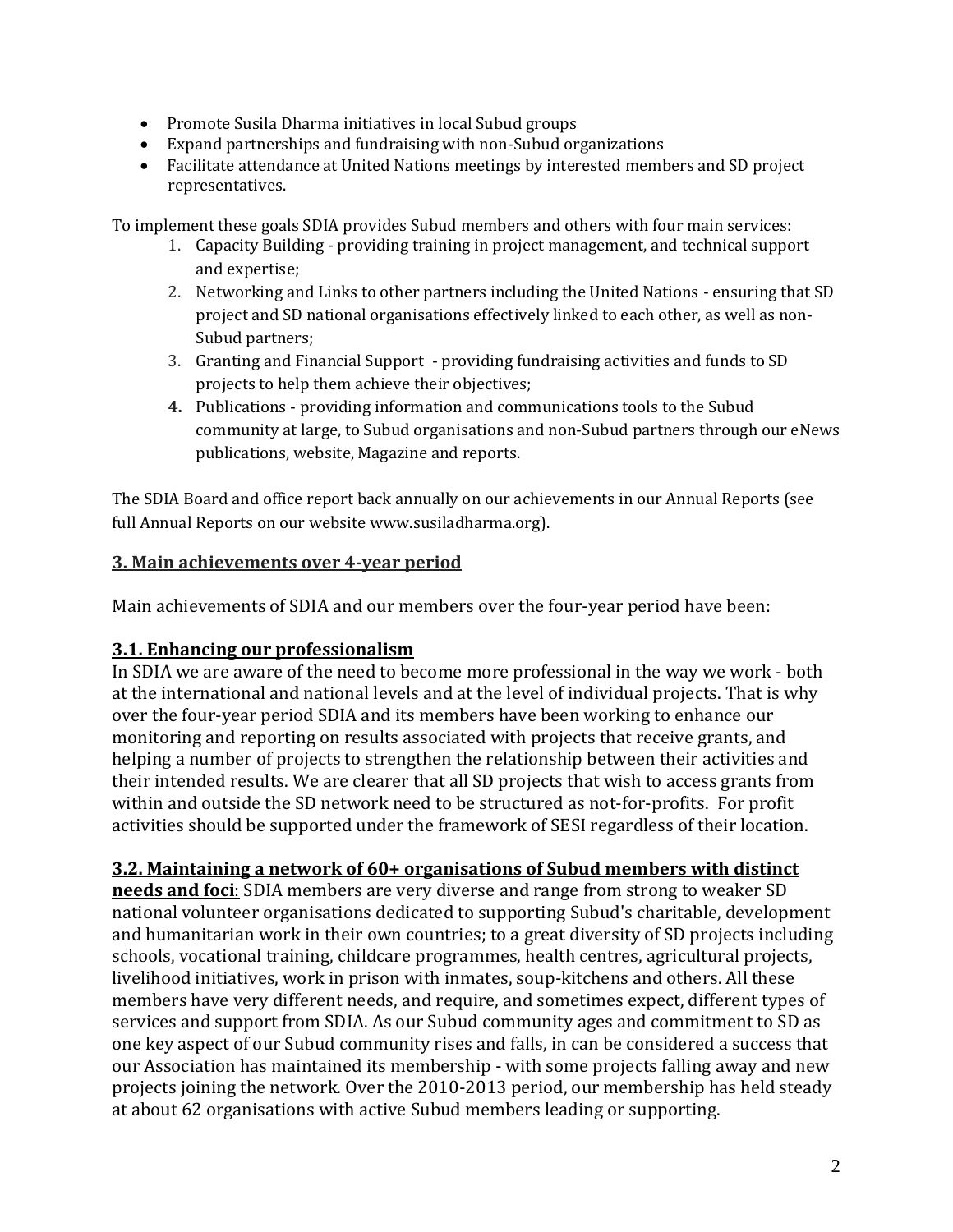- Promote Susila Dharma initiatives in local Subud groups
- Expand partnerships and fundraising with non-Subud organizations
- Facilitate attendance at United Nations meetings by interested members and SD project representatives.

To implement these goals SDIA provides Subud members and others with four main services:

- 1. Capacity Building providing training in project management, and technical support and expertise;
- 2. Networking and Links to other partners including the United Nations ensuring that SD project and SD national organisations effectively linked to each other, as well as non-Subud partners;
- 3. Granting and Financial Support providing fundraising activities and funds to SD projects to help them achieve their objectives;
- **4.** Publications providing information and communications tools to the Subud community at large, to Subud organisations and non-Subud partners through our eNews publications, website, Magazine and reports.

The SDIA Board and office report back annually on our achievements in our Annual Reports (see full Annual Reports on our website www.susiladharma.org).

## **3. Main achievements over 4-year period**

Main achievements of SDIA and our members over the four-year period have been:

# **3.1. Enhancing our professionalism**

In SDIA we are aware of the need to become more professional in the way we work - both at the international and national levels and at the level of individual projects. That is why over the four-year period SDIA and its members have been working to enhance our monitoring and reporting on results associated with projects that receive grants, and helping a number of projects to strengthen the relationship between their activities and their intended results. We are clearer that all SD projects that wish to access grants from within and outside the SD network need to be structured as not-for-profits. For profit activities should be supported under the framework of SESI regardless of their location.

# **3.2. Maintaining a network of 60+ organisations of Subud members with distinct**

**needs and foci**: SDIA members are very diverse and range from strong to weaker SD national volunteer organisations dedicated to supporting Subud's charitable, development and humanitarian work in their own countries; to a great diversity of SD projects including schools, vocational training, childcare programmes, health centres, agricultural projects, livelihood initiatives, work in prison with inmates, soup-kitchens and others. All these members have very different needs, and require, and sometimes expect, different types of services and support from SDIA. As our Subud community ages and commitment to SD as one key aspect of our Subud community rises and falls, in can be considered a success that our Association has maintained its membership - with some projects falling away and new projects joining the network. Over the 2010-2013 period, our membership has held steady at about 62 organisations with active Subud members leading or supporting.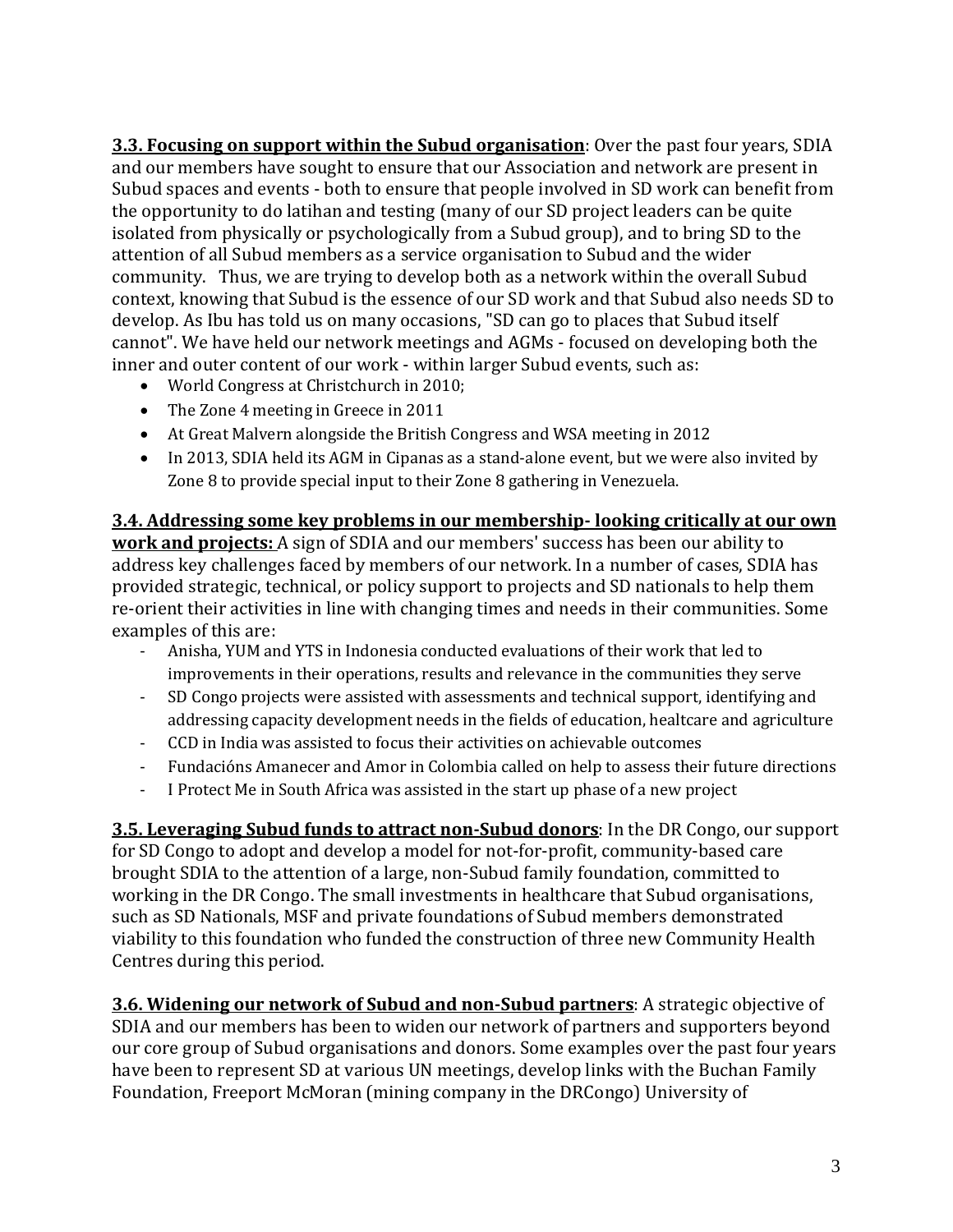**3.3. Focusing on support within the Subud organisation**: Over the past four years, SDIA and our members have sought to ensure that our Association and network are present in Subud spaces and events - both to ensure that people involved in SD work can benefit from the opportunity to do latihan and testing (many of our SD project leaders can be quite isolated from physically or psychologically from a Subud group), and to bring SD to the attention of all Subud members as a service organisation to Subud and the wider community. Thus, we are trying to develop both as a network within the overall Subud context, knowing that Subud is the essence of our SD work and that Subud also needs SD to develop. As Ibu has told us on many occasions, "SD can go to places that Subud itself cannot". We have held our network meetings and AGMs - focused on developing both the inner and outer content of our work - within larger Subud events, such as:

- World Congress at Christchurch in 2010;
- The Zone 4 meeting in Greece in 2011
- At Great Malvern alongside the British Congress and WSA meeting in 2012
- In 2013, SDIA held its AGM in Cipanas as a stand-alone event, but we were also invited by Zone 8 to provide special input to their Zone 8 gathering in Venezuela.

**3.4. Addressing some key problems in our membership- looking critically at our own work and projects:** A sign of SDIA and our members' success has been our ability to address key challenges faced by members of our network. In a number of cases, SDIA has provided strategic, technical, or policy support to projects and SD nationals to help them re-orient their activities in line with changing times and needs in their communities. Some examples of this are:

- Anisha, YUM and YTS in Indonesia conducted evaluations of their work that led to improvements in their operations, results and relevance in the communities they serve
- SD Congo projects were assisted with assessments and technical support, identifying and addressing capacity development needs in the fields of education, healtcare and agriculture
- CCD in India was assisted to focus their activities on achievable outcomes
- Fundacións Amanecer and Amor in Colombia called on help to assess their future directions
- I Protect Me in South Africa was assisted in the start up phase of a new project

**3.5. Leveraging Subud funds to attract non-Subud donors**: In the DR Congo, our support for SD Congo to adopt and develop a model for not-for-profit, community-based care brought SDIA to the attention of a large, non-Subud family foundation, committed to working in the DR Congo. The small investments in healthcare that Subud organisations, such as SD Nationals, MSF and private foundations of Subud members demonstrated viability to this foundation who funded the construction of three new Community Health Centres during this period.

**3.6. Widening our network of Subud and non-Subud partners**: A strategic objective of SDIA and our members has been to widen our network of partners and supporters beyond our core group of Subud organisations and donors. Some examples over the past four years have been to represent SD at various UN meetings, develop links with the Buchan Family Foundation, Freeport McMoran (mining company in the DRCongo) University of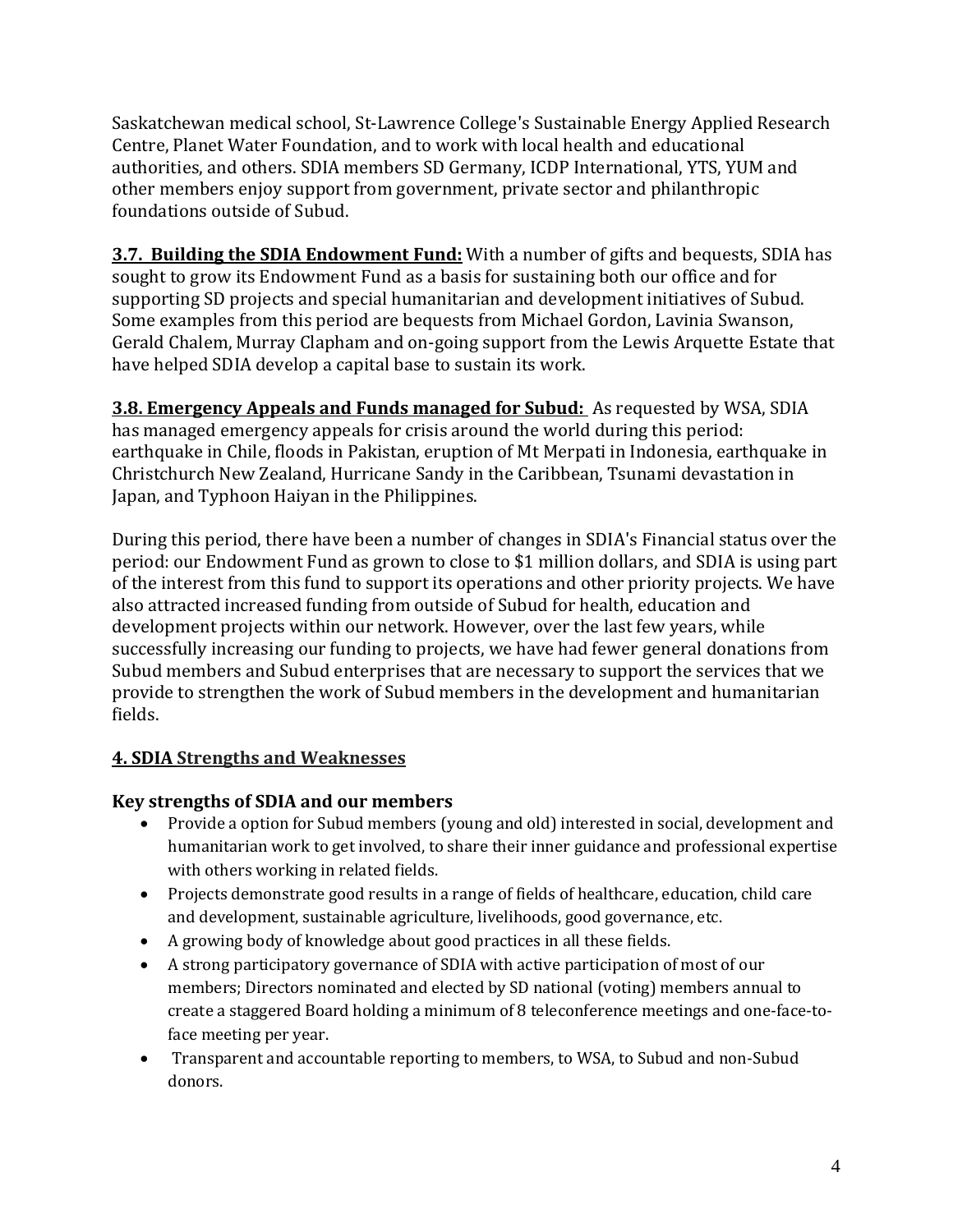Saskatchewan medical school, St-Lawrence College's Sustainable Energy Applied Research Centre, Planet Water Foundation, and to work with local health and educational authorities, and others. SDIA members SD Germany, ICDP International, YTS, YUM and other members enjoy support from government, private sector and philanthropic foundations outside of Subud.

**3.7. Building the SDIA Endowment Fund:** With a number of gifts and bequests, SDIA has sought to grow its Endowment Fund as a basis for sustaining both our office and for supporting SD projects and special humanitarian and development initiatives of Subud. Some examples from this period are bequests from Michael Gordon, Lavinia Swanson, Gerald Chalem, Murray Clapham and on-going support from the Lewis Arquette Estate that have helped SDIA develop a capital base to sustain its work.

**3.8. Emergency Appeals and Funds managed for Subud:** As requested by WSA, SDIA has managed emergency appeals for crisis around the world during this period: earthquake in Chile, floods in Pakistan, eruption of Mt Merpati in Indonesia, earthquake in Christchurch New Zealand, Hurricane Sandy in the Caribbean, Tsunami devastation in Japan, and Typhoon Haiyan in the Philippines.

During this period, there have been a number of changes in SDIA's Financial status over the period: our Endowment Fund as grown to close to \$1 million dollars, and SDIA is using part of the interest from this fund to support its operations and other priority projects. We have also attracted increased funding from outside of Subud for health, education and development projects within our network. However, over the last few years, while successfully increasing our funding to projects, we have had fewer general donations from Subud members and Subud enterprises that are necessary to support the services that we provide to strengthen the work of Subud members in the development and humanitarian fields.

### **4. SDIA Strengths and Weaknesses**

### **Key strengths of SDIA and our members**

- Provide a option for Subud members (young and old) interested in social, development and humanitarian work to get involved, to share their inner guidance and professional expertise with others working in related fields.
- Projects demonstrate good results in a range of fields of healthcare, education, child care and development, sustainable agriculture, livelihoods, good governance, etc.
- A growing body of knowledge about good practices in all these fields.
- A strong participatory governance of SDIA with active participation of most of our members; Directors nominated and elected by SD national (voting) members annual to create a staggered Board holding a minimum of 8 teleconference meetings and one-face-toface meeting per year.
- Transparent and accountable reporting to members, to WSA, to Subud and non-Subud donors.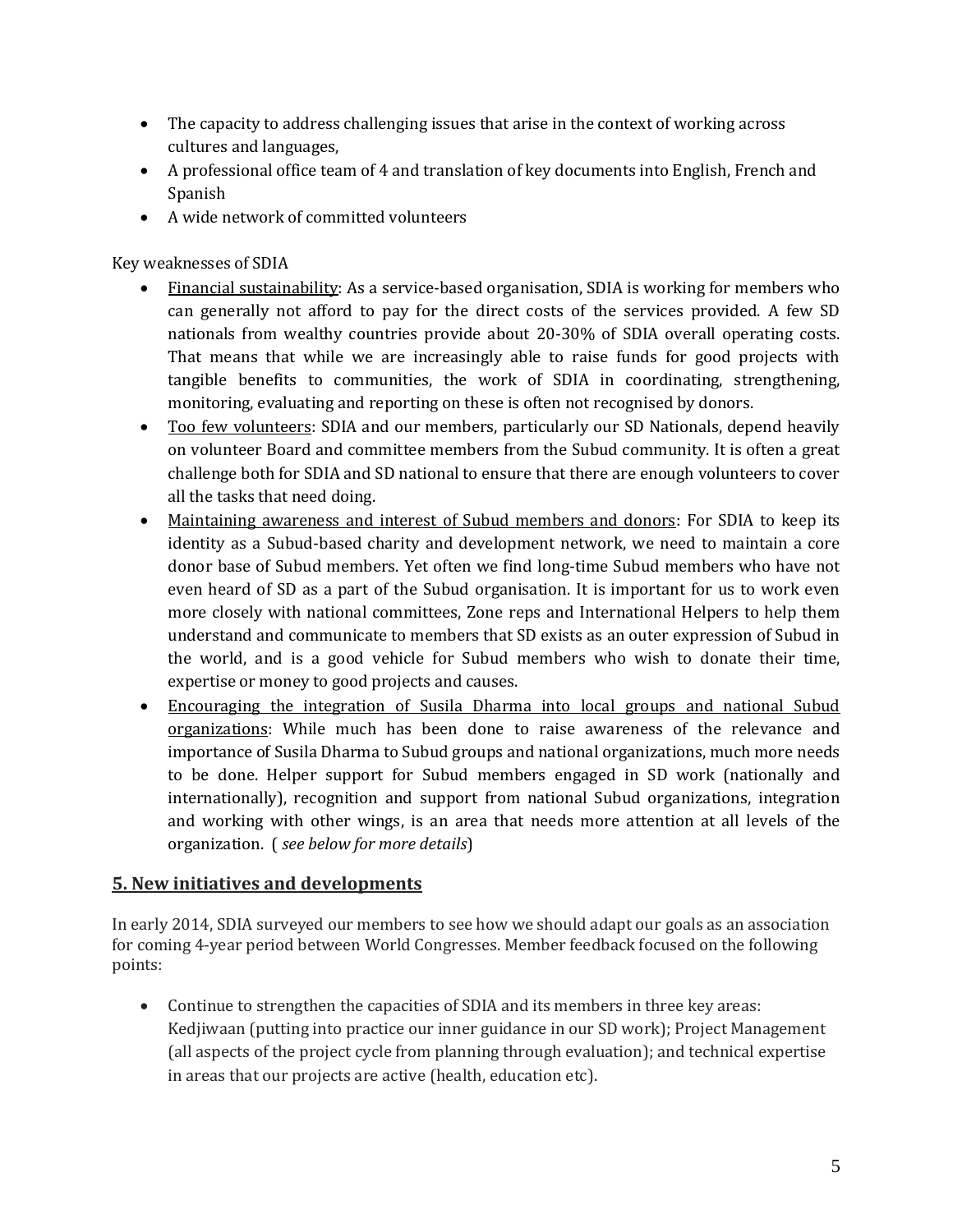- The capacity to address challenging issues that arise in the context of working across cultures and languages,
- A professional office team of 4 and translation of key documents into English, French and Spanish
- A wide network of committed volunteers

Key weaknesses of SDIA

- Financial sustainability: As a service-based organisation, SDIA is working for members who can generally not afford to pay for the direct costs of the services provided. A few SD nationals from wealthy countries provide about 20-30% of SDIA overall operating costs. That means that while we are increasingly able to raise funds for good projects with tangible benefits to communities, the work of SDIA in coordinating, strengthening, monitoring, evaluating and reporting on these is often not recognised by donors.
- Too few volunteers: SDIA and our members, particularly our SD Nationals, depend heavily on volunteer Board and committee members from the Subud community. It is often a great challenge both for SDIA and SD national to ensure that there are enough volunteers to cover all the tasks that need doing.
- Maintaining awareness and interest of Subud members and donors: For SDIA to keep its identity as a Subud-based charity and development network, we need to maintain a core donor base of Subud members. Yet often we find long-time Subud members who have not even heard of SD as a part of the Subud organisation. It is important for us to work even more closely with national committees, Zone reps and International Helpers to help them understand and communicate to members that SD exists as an outer expression of Subud in the world, and is a good vehicle for Subud members who wish to donate their time, expertise or money to good projects and causes.
- Encouraging the integration of Susila Dharma into local groups and national Subud organizations: While much has been done to raise awareness of the relevance and importance of Susila Dharma to Subud groups and national organizations, much more needs to be done. Helper support for Subud members engaged in SD work (nationally and internationally), recognition and support from national Subud organizations, integration and working with other wings, is an area that needs more attention at all levels of the organization. ( *see below for more details*)

### **5. New initiatives and developments**

In early 2014, SDIA surveyed our members to see how we should adapt our goals as an association for coming 4-year period between World Congresses. Member feedback focused on the following points:

 Continue to strengthen the capacities of SDIA and its members in three key areas: Kedjiwaan (putting into practice our inner guidance in our SD work); Project Management (all aspects of the project cycle from planning through evaluation); and technical expertise in areas that our projects are active (health, education etc).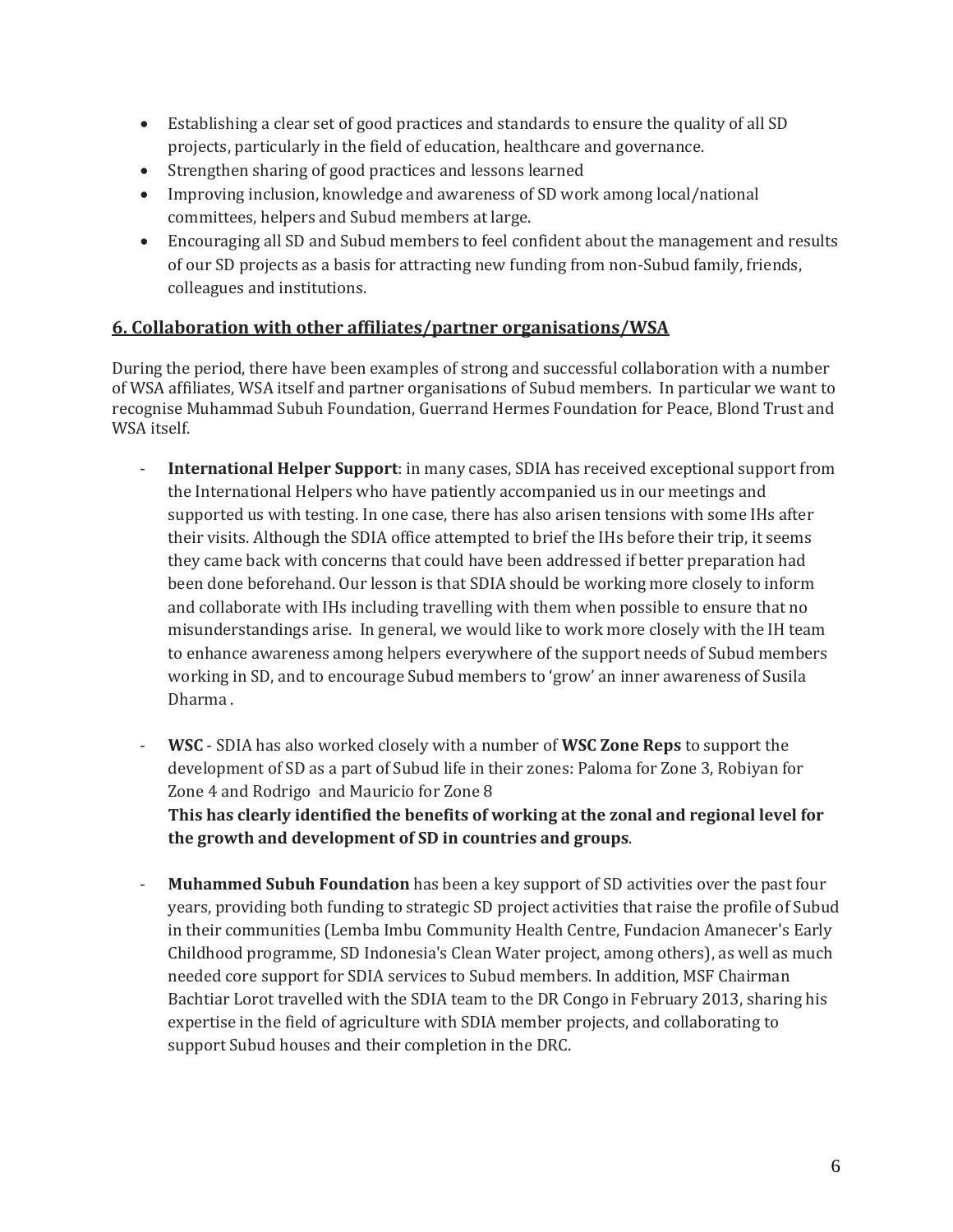- Establishing a clear set of good practices and standards to ensure the quality of all SD projects, particularly in the field of education, healthcare and governance.
- Strengthen sharing of good practices and lessons learned
- Improving inclusion, knowledge and awareness of SD work among local/national committees, helpers and Subud members at large.
- Encouraging all SD and Subud members to feel confident about the management and results of our SD projects as a basis for attracting new funding from non-Subud family, friends, colleagues and institutions.

### **6. Collaboration with other affiliates/partner organisations/WSA**

During the period, there have been examples of strong and successful collaboration with a number of WSA affiliates, WSA itself and partner organisations of Subud members. In particular we want to recognise Muhammad Subuh Foundation, Guerrand Hermes Foundation for Peace, Blond Trust and WSA itself.

- **International Helper Support**: in many cases, SDIA has received exceptional support from the International Helpers who have patiently accompanied us in our meetings and supported us with testing. In one case, there has also arisen tensions with some IHs after their visits. Although the SDIA office attempted to brief the IHs before their trip, it seems they came back with concerns that could have been addressed if better preparation had been done beforehand. Our lesson is that SDIA should be working more closely to inform and collaborate with IHs including travelling with them when possible to ensure that no misunderstandings arise. In general, we would like to work more closely with the IH team to enhance awareness among helpers everywhere of the support needs of Subud members working in SD, and to encourage Subud members to 'grow' an inner awareness of Susila Dharma .
- **WSC** SDIA has also worked closely with a number of **WSC Zone Reps** to support the development of SD as a part of Subud life in their zones: Paloma for Zone 3, Robiyan for Zone 4 and Rodrigo and Mauricio for Zone 8 **This has clearly identified the benefits of working at the zonal and regional level for the growth and development of SD in countries and groups**.

**Muhammed Subuh Foundation** has been a key support of SD activities over the past four years, providing both funding to strategic SD project activities that raise the profile of Subud in their communities (Lemba Imbu Community Health Centre, Fundacion Amanecer's Early Childhood programme, SD Indonesia's Clean Water project, among others), as well as much needed core support for SDIA services to Subud members. In addition, MSF Chairman Bachtiar Lorot travelled with the SDIA team to the DR Congo in February 2013, sharing his expertise in the field of agriculture with SDIA member projects, and collaborating to support Subud houses and their completion in the DRC.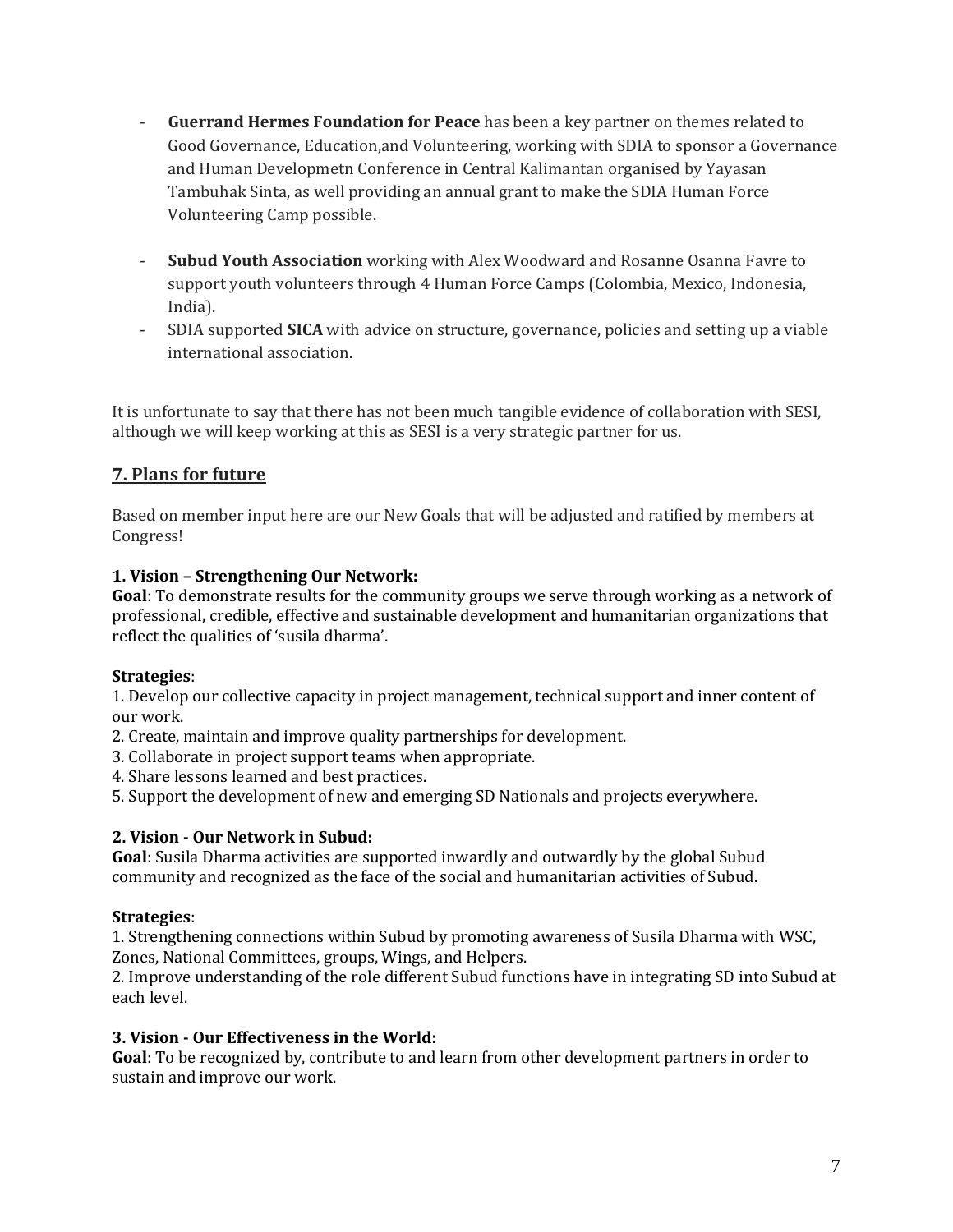- **Guerrand Hermes Foundation for Peace** has been a key partner on themes related to Good Governance, Education,and Volunteering, working with SDIA to sponsor a Governance and Human Developmetn Conference in Central Kalimantan organised by Yayasan Tambuhak Sinta, as well providing an annual grant to make the SDIA Human Force Volunteering Camp possible.
- **Subud Youth Association** working with Alex Woodward and Rosanne Osanna Favre to support youth volunteers through 4 Human Force Camps (Colombia, Mexico, Indonesia, India).
- SDIA supported **SICA** with advice on structure, governance, policies and setting up a viable international association.

It is unfortunate to say that there has not been much tangible evidence of collaboration with SESI, although we will keep working at this as SESI is a very strategic partner for us.

### **7. Plans for future**

Based on member input here are our New Goals that will be adjusted and ratified by members at Congress!

### **1. Vision – Strengthening Our Network:**

**Goal**: To demonstrate results for the community groups we serve through working as a network of professional, credible, effective and sustainable development and humanitarian organizations that reflect the qualities of 'susila dharma'.

#### **Strategies**:

1. Develop our collective capacity in project management, technical support and inner content of our work.

- 2. Create, maintain and improve quality partnerships for development.
- 3. Collaborate in project support teams when appropriate.
- 4. Share lessons learned and best practices.

5. Support the development of new and emerging SD Nationals and projects everywhere.

#### **2. Vision - Our Network in Subud:**

**Goal**: Susila Dharma activities are supported inwardly and outwardly by the global Subud community and recognized as the face of the social and humanitarian activities of Subud.

#### **Strategies**:

1. Strengthening connections within Subud by promoting awareness of Susila Dharma with WSC, Zones, National Committees, groups, Wings, and Helpers.

2. Improve understanding of the role different Subud functions have in integrating SD into Subud at each level.

#### **3. Vision - Our Effectiveness in the World:**

**Goal**: To be recognized by, contribute to and learn from other development partners in order to sustain and improve our work.